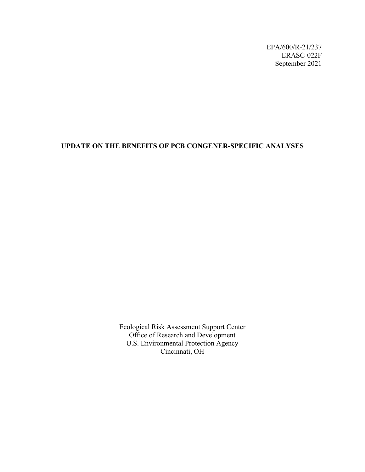EPA/600/R-21/237 ERASC-022F September 2021

### **UPDATE ON THE BENEFITS OF PCB CONGENER-SPECIFIC ANALYSES**

Ecological Risk Assessment Support Center Office of Research and Development U.S. Environmental Protection Agency Cincinnati, OH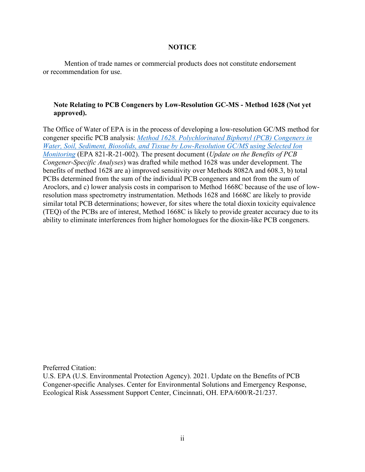### **NOTICE**

Mention of trade names or commercial products does not constitute endorsement or recommendation for use.

### **Note Relating to PCB Congeners by Low-Resolution GC-MS - Method 1628 (Not yet approved).**

The Office of Water of EPA is in the process of developing a low-resolution GC/MS method for congener specific PCB analysis: *[Method 1628. Polychlorinated Biphenyl \(PCB\) Congeners in](https://www.epa.gov/cwa-methods/pcb-congeners-low-resolution-gc-ms-method-1628-not-yet-approved)  [Water, Soil, Sediment, Biosolids, and Tissue by Low-Resolution GC/MS using Selected Ion](https://www.epa.gov/cwa-methods/pcb-congeners-low-resolution-gc-ms-method-1628-not-yet-approved)  [Monitoring](https://www.epa.gov/cwa-methods/pcb-congeners-low-resolution-gc-ms-method-1628-not-yet-approved)* (EPA 821-R-21-002). The present document (*Update on the Benefits of PCB Congener-Specific Analyses*) was drafted while method 1628 was under development. The benefits of method 1628 are a) improved sensitivity over Methods 8082A and 608.3, b) total PCBs determined from the sum of the individual PCB congeners and not from the sum of Aroclors, and c) lower analysis costs in comparison to Method 1668C because of the use of lowresolution mass spectrometry instrumentation. Methods 1628 and 1668C are likely to provide similar total PCB determinations; however, for sites where the total dioxin toxicity equivalence (TEQ) of the PCBs are of interest, Method 1668C is likely to provide greater accuracy due to its ability to eliminate interferences from higher homologues for the dioxin-like PCB congeners.

Preferred Citation:

U.S. EPA (U.S. Environmental Protection Agency). 2021. Update on the Benefits of PCB Congener-specific Analyses. Center for Environmental Solutions and Emergency Response, Ecological Risk Assessment Support Center, Cincinnati, OH. EPA/600/R-21/237.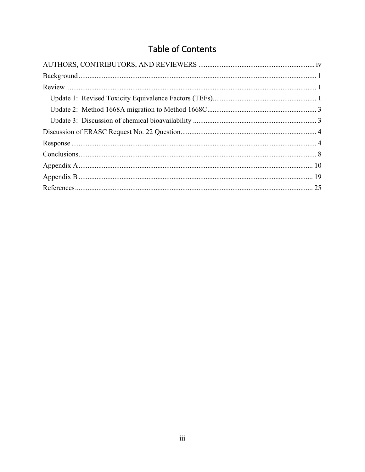# Table of Contents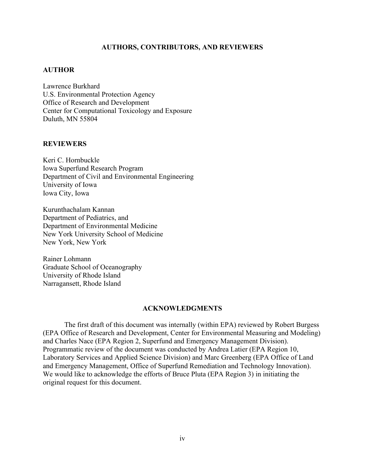### **AUTHORS, CONTRIBUTORS, AND REVIEWERS**

#### <span id="page-3-0"></span>**AUTHOR**

Lawrence Burkhard U.S. Environmental Protection Agency Office of Research and Development Center for Computational Toxicology and Exposure Duluth, MN 55804

#### **REVIEWERS**

Keri C. Hornbuckle Iowa Superfund Research Program Department of Civil and Environmental Engineering University of Iowa Iowa City, Iowa

Kurunthachalam Kannan Department of Pediatrics, and Department of Environmental Medicine New York University School of Medicine New York, New York

Rainer Lohmann Graduate School of Oceanography University of Rhode Island Narragansett, Rhode Island

#### **ACKNOWLEDGMENTS**

The first draft of this document was internally (within EPA) reviewed by Robert Burgess (EPA Office of Research and Development, Center for Environmental Measuring and Modeling) and Charles Nace (EPA Region 2, Superfund and Emergency Management Division). Programmatic review of the document was conducted by Andrea Latier (EPA Region 10, Laboratory Services and Applied Science Division) and Marc Greenberg (EPA Office of Land and Emergency Management, Office of Superfund Remediation and Technology Innovation). We would like to acknowledge the efforts of Bruce Pluta (EPA Region 3) in initiating the original request for this document.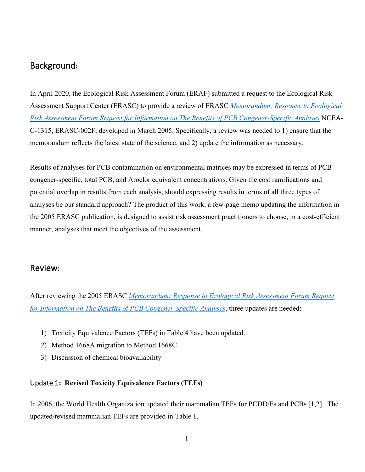# <span id="page-4-0"></span>Background**:**

In April 2020, the Ecological Risk Assessment Forum (ERAF) submitted a request to the Ecological Risk Assessment Support Center (ERASC) to provide a review of ERASC *[Memorandum: Response to Ecological](https://cfpub.epa.gov/ncea/erasc/recordisplay.cfm?deid=309542)  [Risk Assessment Forum Request for Information on The Benefits of PCB Congener-Specific Analyses](https://cfpub.epa.gov/ncea/erasc/recordisplay.cfm?deid=309542)* NCEA-C-1315, ERASC-002F, developed in March 2005. Specifically, a review was needed to 1) ensure that the memorandum reflects the latest state of the science, and 2) update the information as necessary.

Results of analyses for PCB contamination on environmental matrices may be expressed in terms of PCB congener-specific, total PCB, and Aroclor equivalent concentrations. Given the cost ramifications and potential overlap in results from each analysis, should expressing results in terms of all three types of analyses be our standard approach? The product of this work, a few-page memo updating the information in the 2005 ERASC publication, is designed to assist risk assessment practitioners to choose, in a cost-efficient manner, analyses that meet the objectives of the assessment.

# <span id="page-4-1"></span>Review**:**

After reviewing the 2005 ERASC *[Memorandum: Response to Ecological Risk Assessment Forum Request](https://cfpub.epa.gov/ncea/erasc/recordisplay.cfm?deid=309542)  [for Information on The Benefits of PCB Congener-Specific Analyses](https://cfpub.epa.gov/ncea/erasc/recordisplay.cfm?deid=309542)*, three updates are needed:

- 1) Toxicity Equivalence Factors (TEFs) in Table 4 have been updated.
- 2) Method 1668A migration to Method 1668C
- 3) Discussion of chemical bioavailability

## <span id="page-4-2"></span>Update 1**: Revised Toxicity Equivalence Factors (TEFs)**

In 2006, the World Health Organization updated their mammalian TEFs for PCDD/Fs and PCBs [1,2]. The updated/revised mammalian TEFs are provided in Table 1.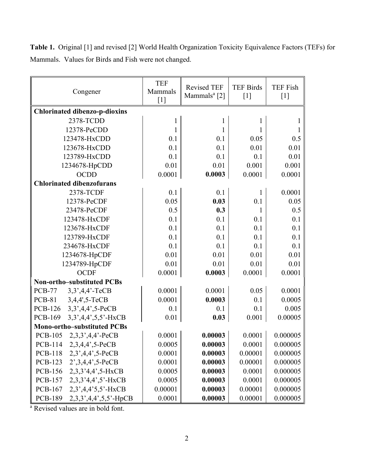| Table 1. Original [1] and revised [2] World Health Organization Toxicity Equivalence Factors (TEFs) for |  |
|---------------------------------------------------------------------------------------------------------|--|
| Mammals. Values for Birds and Fish were not changed.                                                    |  |

| Congener                                   | <b>TEF</b><br>Mammals<br>$[1]$ | <b>Revised TEF</b><br>Mammals <sup>a</sup> [2] | <b>TEF Birds</b><br>$[1]$ | <b>TEF Fish</b><br>$[1]$ |
|--------------------------------------------|--------------------------------|------------------------------------------------|---------------------------|--------------------------|
| <b>Chlorinated dibenzo-p-dioxins</b>       |                                |                                                |                           |                          |
| 2378-TCDD                                  |                                |                                                |                           | $\mathbf{I}$             |
| 12378-PeCDD                                | 1                              |                                                | 1                         | $\mathbf{1}$             |
| 123478-HxCDD                               | 0.1                            | 0.1                                            | 0.05                      | 0.5                      |
| 123678-HxCDD                               | 0.1                            | 0.1                                            | 0.01                      | 0.01                     |
| 123789-HxCDD                               | 0.1                            | 0.1                                            | 0.1                       | 0.01                     |
| 1234678-HpCDD                              | 0.01                           | 0.01                                           | 0.001                     | 0.001                    |
| <b>OCDD</b>                                | 0.0001                         | 0.0003                                         | 0.0001                    | 0.0001                   |
| <b>Chlorinated dibenzofurans</b>           |                                |                                                |                           |                          |
| 2378-TCDF                                  | 0.1                            | 0.1                                            | 1                         | 0.0001                   |
| 12378-PeCDF                                | 0.05                           | 0.03                                           | 0.1                       | 0.05                     |
| 23478-PeCDF                                | 0.5                            | 0.3                                            | 1                         | 0.5                      |
| 123478-HxCDF                               | 0.1                            | 0.1                                            | 0.1                       | 0.1                      |
| 123678-HxCDF                               | 0.1                            | 0.1                                            | 0.1                       | 0.1                      |
| 123789-HxCDF                               | 0.1                            | 0.1                                            | 0.1                       | 0.1                      |
| 234678-HxCDF                               | 0.1                            | 0.1                                            | 0.1                       | 0.1                      |
| 1234678-HpCDF                              | 0.01                           | 0.01                                           | 0.01                      | 0.01                     |
| 1234789-HpCDF                              | 0.01                           | 0.01                                           | 0.01                      | 0.01                     |
| <b>OCDF</b>                                | 0.0001                         | 0.0003                                         | 0.0001                    | 0.0001                   |
| Non-ortho-substituted PCBs                 |                                |                                                |                           |                          |
| <b>PCB-77</b><br>3,3',4,4'-TeCB            | 0.0001                         | 0.0001                                         | 0.05                      | 0.0001                   |
| <b>PCB-81</b><br>3,4,4',5-TeCB             | 0.0001                         | 0.0003                                         | 0.1                       | 0.0005                   |
| <b>PCB-126</b><br>3,3',4,4',5-PeCB         | 0.1                            | 0.1                                            | 0.1                       | 0.005                    |
| <b>PCB-169</b><br>3,3',4,4',5,5'-HxCB      | 0.01                           | 0.03                                           | 0.001                     | 0.00005                  |
| <b>Mono-ortho-substituted PCBs</b>         |                                |                                                |                           |                          |
| <b>PCB-105</b><br>$2,3,3',4,4'$ -PeCB      | 0.0001                         | 0.00003                                        | 0.0001                    | 0.000005                 |
| PCB-114 2,3,4,4',5-PeCB                    | 0.0005                         | 0.00003                                        | 0.0001                    | 0.000005                 |
| <b>PCB-118</b><br>$2,3',4,4',5-PeCB$       | 0.0001                         | 0.00003                                        | 0.00001                   | 0.000005                 |
| $2',3,4,4',5-PeCB$<br><b>PCB-123</b>       | 0.0001                         | 0.00003                                        | 0.00001                   | 0.000005                 |
| $2,3,3,4,4,7,5-HxCB$<br><b>PCB-156</b>     | 0.0005                         | 0.00003                                        | 0.0001                    | 0.000005                 |
| $2,3,3,4,4',5'$ -HxCB<br><b>PCB-157</b>    | 0.0005                         | 0.00003                                        | 0.0001                    | 0.000005                 |
| <b>PCB-167</b><br>$2,3',4,4'5,5'$ -HxCB    | 0.00001                        | 0.00003                                        | 0.00001                   | 0.000005                 |
| <b>PCB-189</b><br>$2,3,3',4,4',5,5'$ -HpCB | 0.0001                         | 0.00003                                        | 0.00001                   | 0.000005                 |

a Revised values are in bold font.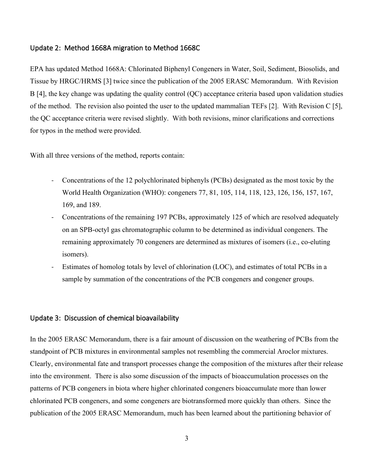### <span id="page-6-0"></span>Update 2: Method 1668A migration to Method 1668C

EPA has updated Method 1668A: Chlorinated Biphenyl Congeners in Water, Soil, Sediment, Biosolids, and Tissue by HRGC/HRMS [3] twice since the publication of the 2005 ERASC Memorandum. With Revision B [4], the key change was updating the quality control (QC) acceptance criteria based upon validation studies of the method. The revision also pointed the user to the updated mammalian TEFs [2]. With Revision C [5], the QC acceptance criteria were revised slightly. With both revisions, minor clarifications and corrections for typos in the method were provided.

With all three versions of the method, reports contain:

- Concentrations of the 12 polychlorinated biphenyls (PCBs) designated as the most toxic by the World Health Organization (WHO): congeners 77, 81, 105, 114, 118, 123, 126, 156, 157, 167, 169, and 189.
- Concentrations of the remaining 197 PCBs, approximately 125 of which are resolved adequately on an SPB-octyl gas chromatographic column to be determined as individual congeners. The remaining approximately 70 congeners are determined as mixtures of isomers (i.e., co-eluting isomers).
- Estimates of homolog totals by level of chlorination (LOC), and estimates of total PCBs in a sample by summation of the concentrations of the PCB congeners and congener groups.

### <span id="page-6-1"></span>Update 3: Discussion of chemical bioavailability

In the 2005 ERASC Memorandum, there is a fair amount of discussion on the weathering of PCBs from the standpoint of PCB mixtures in environmental samples not resembling the commercial Aroclor mixtures. Clearly, environmental fate and transport processes change the composition of the mixtures after their release into the environment. There is also some discussion of the impacts of bioaccumulation processes on the patterns of PCB congeners in biota where higher chlorinated congeners bioaccumulate more than lower chlorinated PCB congeners, and some congeners are biotransformed more quickly than others. Since the publication of the 2005 ERASC Memorandum, much has been learned about the partitioning behavior of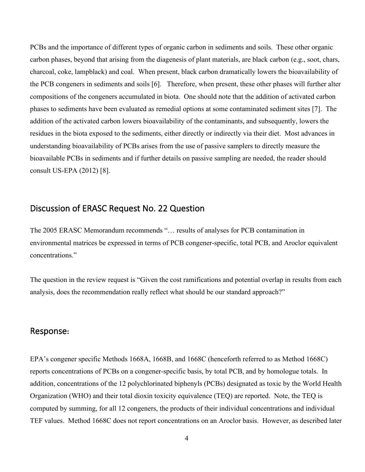PCBs and the importance of different types of organic carbon in sediments and soils. These other organic carbon phases, beyond that arising from the diagenesis of plant materials, are black carbon (e.g., soot, chars, charcoal, coke, lampblack) and coal. When present, black carbon dramatically lowers the bioavailability of the PCB congeners in sediments and soils [6]. Therefore, when present, these other phases will further alter compositions of the congeners accumulated in biota. One should note that the addition of activated carbon phases to sediments have been evaluated as remedial options at some contaminated sediment sites [7]. The addition of the activated carbon lowers bioavailability of the contaminants, and subsequently, lowers the residues in the biota exposed to the sediments, either directly or indirectly via their diet. Most advances in understanding bioavailability of PCBs arises from the use of passive samplers to directly measure the bioavailable PCBs in sediments and if further details on passive sampling are needed, the reader should consult US-EPA (2012) [8].

# <span id="page-7-0"></span>Discussion of ERASC Request No. 22 Question

The 2005 ERASC Memorandum recommends "… results of analyses for PCB contamination in environmental matrices be expressed in terms of PCB congener-specific, total PCB, and Aroclor equivalent concentrations."

The question in the review request is "Given the cost ramifications and potential overlap in results from each analysis, does the recommendation really reflect what should be our standard approach?"

### <span id="page-7-1"></span>Response**:**

EPA's congener specific Methods 1668A, 1668B, and 1668C (henceforth referred to as Method 1668C) reports concentrations of PCBs on a congener-specific basis, by total PCB, and by homologue totals. In addition, concentrations of the 12 polychlorinated biphenyls (PCBs) designated as toxic by the World Health Organization (WHO) and their total dioxin toxicity equivalence (TEQ) are reported. Note, the TEQ is computed by summing, for all 12 congeners, the products of their individual concentrations and individual TEF values. Method 1668C does not report concentrations on an Aroclor basis. However, as described later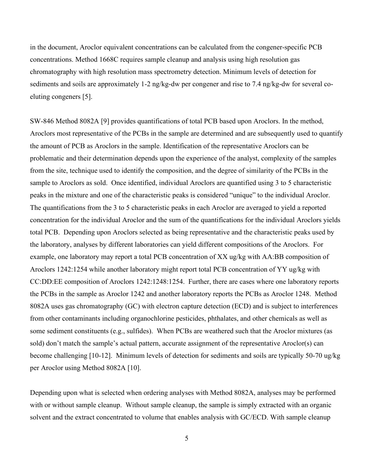in the document, Aroclor equivalent concentrations can be calculated from the congener-specific PCB concentrations. Method 1668C requires sample cleanup and analysis using high resolution gas chromatography with high resolution mass spectrometry detection. Minimum levels of detection for sediments and soils are approximately 1-2 ng/kg-dw per congener and rise to 7.4 ng/kg-dw for several coeluting congeners [5].

SW-846 Method 8082A [9] provides quantifications of total PCB based upon Aroclors. In the method, Aroclors most representative of the PCBs in the sample are determined and are subsequently used to quantify the amount of PCB as Aroclors in the sample. Identification of the representative Aroclors can be problematic and their determination depends upon the experience of the analyst, complexity of the samples from the site, technique used to identify the composition, and the degree of similarity of the PCBs in the sample to Aroclors as sold. Once identified, individual Aroclors are quantified using 3 to 5 characteristic peaks in the mixture and one of the characteristic peaks is considered "unique" to the individual Aroclor. The quantifications from the 3 to 5 characteristic peaks in each Aroclor are averaged to yield a reported concentration for the individual Aroclor and the sum of the quantifications for the individual Aroclors yields total PCB. Depending upon Aroclors selected as being representative and the characteristic peaks used by the laboratory, analyses by different laboratories can yield different compositions of the Aroclors. For example, one laboratory may report a total PCB concentration of XX ug/kg with AA:BB composition of Aroclors 1242:1254 while another laboratory might report total PCB concentration of YY ug/kg with CC:DD:EE composition of Aroclors 1242:1248:1254. Further, there are cases where one laboratory reports the PCBs in the sample as Aroclor 1242 and another laboratory reports the PCBs as Aroclor 1248. Method 8082A uses gas chromatography (GC) with electron capture detection (ECD) and is subject to interferences from other contaminants including organochlorine pesticides, phthalates, and other chemicals as well as some sediment constituents (e.g., sulfides). When PCBs are weathered such that the Aroclor mixtures (as sold) don't match the sample's actual pattern, accurate assignment of the representative Aroclor(s) can become challenging [10-12]. Minimum levels of detection for sediments and soils are typically 50-70 ug/kg per Aroclor using Method 8082A [10].

Depending upon what is selected when ordering analyses with Method 8082A, analyses may be performed with or without sample cleanup. Without sample cleanup, the sample is simply extracted with an organic solvent and the extract concentrated to volume that enables analysis with GC/ECD. With sample cleanup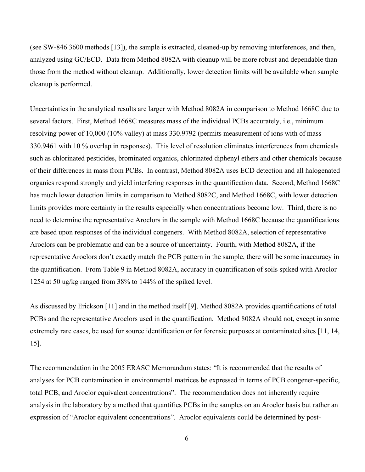(see SW-846 3600 methods [13]), the sample is extracted, cleaned-up by removing interferences, and then, analyzed using GC/ECD. Data from Method 8082A with cleanup will be more robust and dependable than those from the method without cleanup. Additionally, lower detection limits will be available when sample cleanup is performed.

Uncertainties in the analytical results are larger with Method 8082A in comparison to Method 1668C due to several factors. First, Method 1668C measures mass of the individual PCBs accurately, i.e., minimum resolving power of 10,000 (10% valley) at mass 330.9792 (permits measurement of ions with of mass 330.9461 with 10 % overlap in responses). This level of resolution eliminates interferences from chemicals such as chlorinated pesticides, brominated organics, chlorinated diphenyl ethers and other chemicals because of their differences in mass from PCBs. In contrast, Method 8082A uses ECD detection and all halogenated organics respond strongly and yield interfering responses in the quantification data. Second, Method 1668C has much lower detection limits in comparison to Method 8082C, and Method 1668C, with lower detection limits provides more certainty in the results especially when concentrations become low. Third, there is no need to determine the representative Aroclors in the sample with Method 1668C because the quantifications are based upon responses of the individual congeners. With Method 8082A, selection of representative Aroclors can be problematic and can be a source of uncertainty. Fourth, with Method 8082A, if the representative Aroclors don't exactly match the PCB pattern in the sample, there will be some inaccuracy in the quantification. From Table 9 in Method 8082A, accuracy in quantification of soils spiked with Aroclor 1254 at 50 ug/kg ranged from 38% to 144% of the spiked level.

As discussed by Erickson [11] and in the method itself [9], Method 8082A provides quantifications of total PCBs and the representative Aroclors used in the quantification. Method 8082A should not, except in some extremely rare cases, be used for source identification or for forensic purposes at contaminated sites [11, 14, 15].

The recommendation in the 2005 ERASC Memorandum states: "It is recommended that the results of analyses for PCB contamination in environmental matrices be expressed in terms of PCB congener-specific, total PCB, and Aroclor equivalent concentrations". The recommendation does not inherently require analysis in the laboratory by a method that quantifies PCBs in the samples on an Aroclor basis but rather an expression of "Aroclor equivalent concentrations". Aroclor equivalents could be determined by post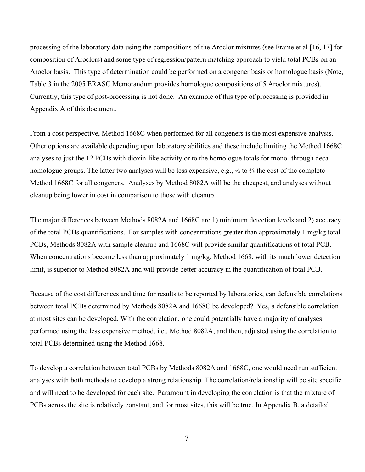processing of the laboratory data using the compositions of the Aroclor mixtures (see Frame et al [16, 17] for composition of Aroclors) and some type of regression/pattern matching approach to yield total PCBs on an Aroclor basis. This type of determination could be performed on a congener basis or homologue basis (Note, Table 3 in the 2005 ERASC Memorandum provides homologue compositions of 5 Aroclor mixtures). Currently, this type of post-processing is not done. An example of this type of processing is provided in Appendix A of this document.

From a cost perspective, Method 1668C when performed for all congeners is the most expensive analysis. Other options are available depending upon laboratory abilities and these include limiting the Method 1668C analyses to just the 12 PCBs with dioxin-like activity or to the homologue totals for mono- through decahomologue groups. The latter two analyses will be less expensive, e.g., ½ to ⅔ the cost of the complete Method 1668C for all congeners. Analyses by Method 8082A will be the cheapest, and analyses without cleanup being lower in cost in comparison to those with cleanup.

The major differences between Methods 8082A and 1668C are 1) minimum detection levels and 2) accuracy of the total PCBs quantifications. For samples with concentrations greater than approximately 1 mg/kg total PCBs, Methods 8082A with sample cleanup and 1668C will provide similar quantifications of total PCB. When concentrations become less than approximately 1 mg/kg, Method 1668, with its much lower detection limit, is superior to Method 8082A and will provide better accuracy in the quantification of total PCB.

Because of the cost differences and time for results to be reported by laboratories, can defensible correlations between total PCBs determined by Methods 8082A and 1668C be developed? Yes, a defensible correlation at most sites can be developed. With the correlation, one could potentially have a majority of analyses performed using the less expensive method, i.e., Method 8082A, and then, adjusted using the correlation to total PCBs determined using the Method 1668.

To develop a correlation between total PCBs by Methods 8082A and 1668C, one would need run sufficient analyses with both methods to develop a strong relationship. The correlation/relationship will be site specific and will need to be developed for each site. Paramount in developing the correlation is that the mixture of PCBs across the site is relatively constant, and for most sites, this will be true. In Appendix B, a detailed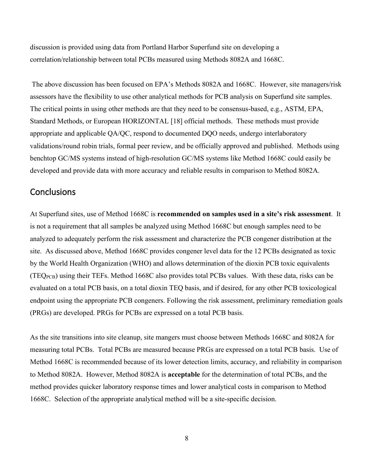discussion is provided using data from Portland Harbor Superfund site on developing a correlation/relationship between total PCBs measured using Methods 8082A and 1668C.

The above discussion has been focused on EPA's Methods 8082A and 1668C. However, site managers/risk assessors have the flexibility to use other analytical methods for PCB analysis on Superfund site samples. The critical points in using other methods are that they need to be consensus-based, e.g., ASTM, EPA, Standard Methods, or European HORIZONTAL [18] official methods. These methods must provide appropriate and applicable QA/QC, respond to documented DQO needs, undergo interlaboratory validations/round robin trials, formal peer review, and be officially approved and published. Methods using benchtop GC/MS systems instead of high-resolution GC/MS systems like Method 1668C could easily be developed and provide data with more accuracy and reliable results in comparison to Method 8082A.

# <span id="page-11-0"></span>**Conclusions**

At Superfund sites, use of Method 1668C is **recommended on samples used in a site's risk assessment**. It is not a requirement that all samples be analyzed using Method 1668C but enough samples need to be analyzed to adequately perform the risk assessment and characterize the PCB congener distribution at the site. As discussed above, Method 1668C provides congener level data for the 12 PCBs designated as toxic by the World Health Organization (WHO) and allows determination of the dioxin PCB toxic equivalents (TEQPCB) using their TEFs. Method 1668C also provides total PCBs values. With these data, risks can be evaluated on a total PCB basis, on a total dioxin TEQ basis, and if desired, for any other PCB toxicological endpoint using the appropriate PCB congeners. Following the risk assessment, preliminary remediation goals (PRGs) are developed. PRGs for PCBs are expressed on a total PCB basis.

As the site transitions into site cleanup, site mangers must choose between Methods 1668C and 8082A for measuring total PCBs. Total PCBs are measured because PRGs are expressed on a total PCB basis. Use of Method 1668C is recommended because of its lower detection limits, accuracy, and reliability in comparison to Method 8082A. However, Method 8082A is **acceptable** for the determination of total PCBs, and the method provides quicker laboratory response times and lower analytical costs in comparison to Method 1668C. Selection of the appropriate analytical method will be a site-specific decision.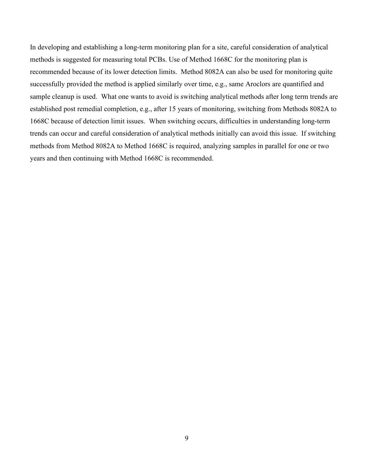In developing and establishing a long-term monitoring plan for a site, careful consideration of analytical methods is suggested for measuring total PCBs. Use of Method 1668C for the monitoring plan is recommended because of its lower detection limits. Method 8082A can also be used for monitoring quite successfully provided the method is applied similarly over time, e.g., same Aroclors are quantified and sample cleanup is used. What one wants to avoid is switching analytical methods after long term trends are established post remedial completion, e.g., after 15 years of monitoring, switching from Methods 8082A to 1668C because of detection limit issues. When switching occurs, difficulties in understanding long-term trends can occur and careful consideration of analytical methods initially can avoid this issue. If switching methods from Method 8082A to Method 1668C is required, analyzing samples in parallel for one or two years and then continuing with Method 1668C is recommended.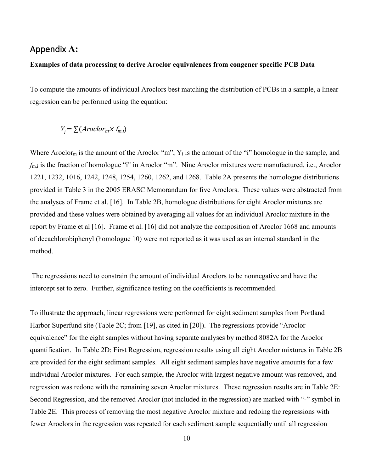# <span id="page-13-0"></span>Appendix **A:**

#### **Examples of data processing to derive Aroclor equivalences from congener specific PCB Data**

To compute the amounts of individual Aroclors best matching the distribution of PCBs in a sample, a linear regression can be performed using the equation:

$$
Y_i = \sum (Aroclor_m \times f_{m,i})
$$

Where Aroclor<sub>m</sub> is the amount of the Aroclor "m",  $Y_i$  is the amount of the "i" homologue in the sample, and *f*m,i is the fraction of homologue "i" in Aroclor "m". Nine Aroclor mixtures were manufactured, i.e., Aroclor 1221, 1232, 1016, 1242, 1248, 1254, 1260, 1262, and 1268. Table 2A presents the homologue distributions provided in Table 3 in the 2005 ERASC Memorandum for five Aroclors. These values were abstracted from the analyses of Frame et al. [16]. In Table 2B, homologue distributions for eight Aroclor mixtures are provided and these values were obtained by averaging all values for an individual Aroclor mixture in the report by Frame et al [16]. Frame et al. [16] did not analyze the composition of Aroclor 1668 and amounts of decachlorobiphenyl (homologue 10) were not reported as it was used as an internal standard in the method.

 The regressions need to constrain the amount of individual Aroclors to be nonnegative and have the intercept set to zero. Further, significance testing on the coefficients is recommended.

To illustrate the approach, linear regressions were performed for eight sediment samples from Portland Harbor Superfund site (Table 2C; from [19], as cited in [20]). The regressions provide "Aroclor equivalence" for the eight samples without having separate analyses by method 8082A for the Aroclor quantification. In Table 2D: First Regression, regression results using all eight Aroclor mixtures in Table 2B are provided for the eight sediment samples. All eight sediment samples have negative amounts for a few individual Aroclor mixtures. For each sample, the Aroclor with largest negative amount was removed, and regression was redone with the remaining seven Aroclor mixtures. These regression results are in Table 2E: Second Regression, and the removed Aroclor (not included in the regression) are marked with "-" symbol in Table 2E. This process of removing the most negative Aroclor mixture and redoing the regressions with fewer Aroclors in the regression was repeated for each sediment sample sequentially until all regression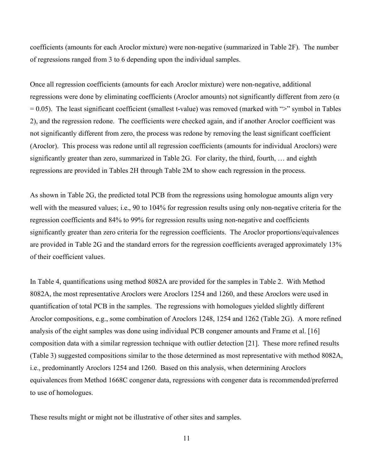coefficients (amounts for each Aroclor mixture) were non-negative (summarized in Table 2F). The number of regressions ranged from 3 to 6 depending upon the individual samples.

Once all regression coefficients (amounts for each Aroclor mixture) were non-negative, additional regressions were done by eliminating coefficients (Aroclor amounts) not significantly different from zero (α  $= 0.05$ ). The least significant coefficient (smallest t-value) was removed (marked with " $>$ " symbol in Tables 2), and the regression redone. The coefficients were checked again, and if another Aroclor coefficient was not significantly different from zero, the process was redone by removing the least significant coefficient (Aroclor). This process was redone until all regression coefficients (amounts for individual Aroclors) were significantly greater than zero, summarized in Table 2G. For clarity, the third, fourth, … and eighth regressions are provided in Tables 2H through Table 2M to show each regression in the process.

As shown in Table 2G, the predicted total PCB from the regressions using homologue amounts align very well with the measured values; i.e., 90 to 104% for regression results using only non-negative criteria for the regression coefficients and 84% to 99% for regression results using non-negative and coefficients significantly greater than zero criteria for the regression coefficients. The Aroclor proportions/equivalences are provided in Table 2G and the standard errors for the regression coefficients averaged approximately 13% of their coefficient values.

In Table 4, quantifications using method 8082A are provided for the samples in Table 2. With Method 8082A, the most representative Aroclors were Aroclors 1254 and 1260, and these Aroclors were used in quantification of total PCB in the samples. The regressions with homologues yielded slightly different Aroclor compositions, e.g., some combination of Aroclors 1248, 1254 and 1262 (Table 2G). A more refined analysis of the eight samples was done using individual PCB congener amounts and Frame et al. [16] composition data with a similar regression technique with outlier detection [21]. These more refined results (Table 3) suggested compositions similar to the those determined as most representative with method 8082A, i.e., predominantly Aroclors 1254 and 1260. Based on this analysis, when determining Aroclors equivalences from Method 1668C congener data, regressions with congener data is recommended/preferred to use of homologues.

These results might or might not be illustrative of other sites and samples.

11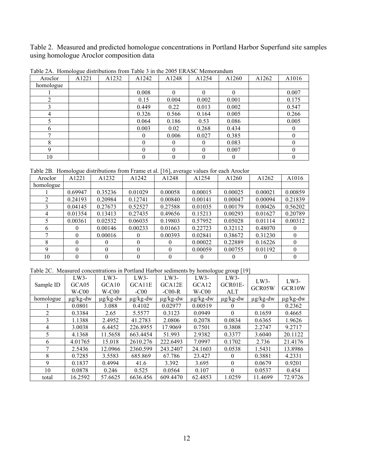Table 2. Measured and predicted homologue concentrations in Portland Harbor Superfund site samples using homologue Aroclor composition data

| Aroclor   | A1221 | A1232 | A <sub>1242</sub> | A <sub>1248</sub> | A1254    | A1260    | A <sub>1262</sub> | A1016            |
|-----------|-------|-------|-------------------|-------------------|----------|----------|-------------------|------------------|
| homologue |       |       |                   |                   |          |          |                   |                  |
|           |       |       | 0.008             |                   |          |          |                   | 0.007            |
|           |       |       | 0.15              | 0.004             | 0.002    | 0.001    |                   | 0.175            |
|           |       |       | 0.449             | 0.22              | 0.013    | 0.002    |                   | 0.547            |
| 4         |       |       | 0.326             | 0.566             | 0.164    | 0.005    |                   | 0.266            |
|           |       |       | 0.064             | 0.186             | 0.53     | 0.086    |                   | 0.005            |
| h         |       |       | 0.003             | 0.02              | 0.268    | 0.434    |                   |                  |
|           |       |       | $\theta$          | 0.006             | 0.027    | 0.385    |                   |                  |
| 8         |       |       | $\theta$          | 0                 | $\Omega$ | 0.083    |                   | $\left( \right)$ |
|           |       |       | $\theta$          | $\theta$          | $\Omega$ | 0.007    |                   | 0                |
| 10        |       |       | $\theta$          | $\theta$          | $\Omega$ | $\theta$ |                   | 0                |

Table 2A. Homologue distributions from Table 3 in the 2005 ERASC Memorandum

Table 2B. Homologue distributions from Frame et al. [16], average values for each Aroclor

| Aroclor   | A1221    | A1232    | A1242   | A1248    | A1254   | A <sub>1260</sub> | A1262   | A1016   |
|-----------|----------|----------|---------|----------|---------|-------------------|---------|---------|
| homologue |          |          |         |          |         |                   |         |         |
|           | 0.69947  | 0.35236  | 0.01029 | 0.00058  | 0.00015 | 0.00025           | 0.00021 | 0.00859 |
| 2         | 0.24193  | 0.20984  | 0.12741 | 0.00840  | 0.00141 | 0.00047           | 0.00094 | 0.21839 |
| 3         | 0.04145  | 0.27673  | 0.52527 | 0.27588  | 0.01035 | 0.00179           | 0.00426 | 0.56202 |
| 4         | 0.01354  | 0.13413  | 0.27435 | 0.49656  | 0.15213 | 0.00293           | 0.01627 | 0.20789 |
| 5         | 0.00361  | 0.02532  | 0.06035 | 0.19803  | 0.57952 | 0.05028           | 0.01114 | 0.00312 |
| 6         | $\theta$ | 0.00146  | 0.00233 | 0.01663  | 0.22723 | 0.32112           | 0.48070 |         |
| π         | $\theta$ | 0.00016  |         | 0.00393  | 0.02841 | 0.38672           | 0.31230 |         |
| 8         | $\theta$ | $\theta$ | 0       | 0        | 0.00022 | 0.22889           | 0.16226 |         |
| 9         | $\Omega$ | $\Omega$ | 0       | $\Omega$ | 0.00059 | 0.00755           | 0.01192 |         |
| 10        | $\theta$ | $\theta$ | 0       | $\theta$ | 0       | $\theta$          |         |         |

Table 2C. Measured concentrations in Portland Harbor sediments by homologue group [19]

| Sample ID      | $LW3-$<br>GCA05 | $LW3-$<br>GCA <sub>10</sub> | $LW3-$<br>GCA11E | $LW3-$<br>GCA12E | $LW3-$<br>GCA <sub>12</sub> | $LW3-$<br>GCR01E- | $LW3-$<br>GCR05W | $LW3-$<br>GCR <sub>10</sub> W |
|----------------|-----------------|-----------------------------|------------------|------------------|-----------------------------|-------------------|------------------|-------------------------------|
|                | $W-C00$         | $W-C00$                     | $-C00$           | $-C00-R$         | $W-C00$                     | <b>ALT</b>        |                  |                               |
| homologue      | $\mu$ g/kg-dw   | $\mu$ g/kg-dw               | $\mu$ g/kg-dw    | $\mu$ g/kg-dw    | $\mu$ g/kg-dw               | $\mu$ g/kg-dw     | $\mu$ g/kg-dw    | $\mu$ g/kg-dw                 |
|                | 0.0801          | 3.088                       | 0.4102           | 0.02977          | 0.00519                     | $^{(1)}$          | $\theta$         | 0.2362                        |
| $\mathfrak{D}$ | 0.3384          | 2.65                        | 5.5577           | 0.3123           | 0.0949                      | $\Omega$          | 0.1659           | 0.4665                        |
| 3              | 1.1388          | 2.4952                      | 41.2783          | 2.0806           | 0.2078                      | 0.0834            | 0.6365           | 1.9626                        |
| 4              | 3.0038          | 6.4452                      | 226.8955         | 17.9069          | 0.7501                      | 0.3808            | 2.2747           | 9.2717                        |
| 5              | 4.1368          | 11.5658                     | 663.4454         | 51.993           | 2.9382                      | 0.3377            | 3.6040           | 20.1122                       |
| 6              | 4.01765         | 15.018                      | 2610.276         | 222.6493         | 7.0997                      | 0.1702            | 2.736            | 21.4176                       |
| 7              | 2.5436          | 12.0966                     | 2360.599         | 243.2407         | 24.1603                     | 0.0538            | 1.5431           | 13.8986                       |
| 8              | 0.7285          | 3.5583                      | 685.869          | 67.786           | 23.427                      | 0                 | 0.3881           | 4.2331                        |
| 9              | 0.1837          | 0.4994                      | 41.6             | 3.392            | 3.695                       | $\theta$          | 0.0679           | 0.9201                        |
| 10             | 0.0878          | 0.246                       | 0.525            | 0.0564           | 0.107                       | $\theta$          | 0.0537           | 0.454                         |
| total          | 16.2592         | 57.6625                     | 6636.456         | 609.4470         | 62.4853                     | 1.0259            | 11.4699          | 72.9726                       |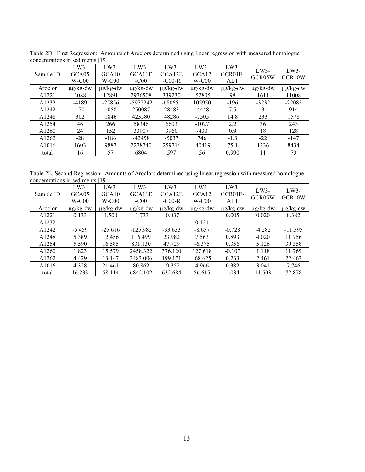|                   | concentrations in securitents<br>ユフエ |               |               |               |                   |               |               |               |  |  |  |
|-------------------|--------------------------------------|---------------|---------------|---------------|-------------------|---------------|---------------|---------------|--|--|--|
|                   | $LW3-$                               | $LW3-$        | $LW3-$        | $LW3-$        | $LW3-$            | $LW3-$        | LW3-          | $LW3-$        |  |  |  |
| Sample ID         | GCA05                                | GCA10         | GCA11E        | GCA12E        | GCA <sub>12</sub> | GCR01E-       | GCR05W        | GCR10W        |  |  |  |
|                   | $W-C00$                              | $W-C00$       | $-C00$        | $-C00-R$      | $W-C00$           | <b>ALT</b>    |               |               |  |  |  |
| Aroclor           | $\mu$ g/kg-dw                        | $\mu$ g/kg-dw | $\mu$ g/kg-dw | $\mu$ g/kg-dw | $\mu$ g/kg-dw     | $\mu$ g/kg-dw | $\mu$ g/kg-dw | $\mu$ g/kg-dw |  |  |  |
| A1221             | 2088                                 | 12891         | 2976508       | 339230        | $-52805$          | 98            | 1611          | 11008         |  |  |  |
| A1232             | $-4189$                              | $-25856$      | -5972242      | $-680651$     | 105950            | $-196$        | $-3232$       | $-22085$      |  |  |  |
| A1242             | 170                                  | 1058          | 250087        | 28483         | $-4448$           | 7.5           | 131           | 914           |  |  |  |
| A1248             | 302                                  | 1846          | 423580        | 48286         | $-7505$           | 14.8          | 233           | 1578          |  |  |  |
| A <sub>1254</sub> | 46                                   | 266           | 58346         | 6603          | $-1027$           | 2.2           | 36            | 243           |  |  |  |
| A <sub>1260</sub> | 24                                   | 152           | 33907         | 3960          | $-430$            | 0.9           | 18            | 128           |  |  |  |
| A1262             | $-28$                                | $-186$        | $-42458$      | $-5037$       | 746               | $-1.3$        | $-22$         | $-147$        |  |  |  |
| A1016             | 1603                                 | 9887          | 2278740       | 259716        | $-40419$          | 75.1          | 1236          | 8434          |  |  |  |
| total             | 16                                   | 57            | 6804          | 597           | 56                | 0.990         | 11            | 73            |  |  |  |

Table 2D. First Regression: Amounts of Aroclors determined using linear regression with measured homologue concentrations in sediments [19]

Table 2E. Second Regression: Amounts of Aroclors determined using linear regression with measured homologue concentrations in sediments [19]

| Sample ID         | $LW3-$<br>GCA05<br>$W-C00$ | $LW3-$<br>GCA10<br>$W-C00$ | $LW3-$<br>GCA11E<br>$-C00$ | $LW3-$<br>GCA12E<br>$-C00-R$ | $LW3-$<br>GCA <sub>12</sub><br>$W-C00$ | $LW3-$<br>GCR01E-<br><b>ALT</b> | $LW3-$<br>GCR05W | $LW3-$<br>GCR <sub>10</sub> W |
|-------------------|----------------------------|----------------------------|----------------------------|------------------------------|----------------------------------------|---------------------------------|------------------|-------------------------------|
| Aroclor           | $\mu$ g/kg-dw              | $\mu$ g/kg-dw              | $\mu$ g/kg-dw              | $\mu$ g/kg-dw                | $\mu$ g/kg-dw                          | $\mu$ g/kg-dw                   | $\mu$ g/kg-dw    | $\mu$ g/kg-dw                 |
| A1221             | 0.133                      | 4.500                      | $-1.733$                   | $-0.037$                     |                                        | 0.005                           | 0.020            | 0.382                         |
| A1232             |                            |                            |                            |                              | 0.124                                  | -                               |                  |                               |
| A1242             | $-5.459$                   | $-25.616$                  | $-125.982$                 | $-33.633$                    | $-8.657$                               | $-0.728$                        | $-4.282$         | $-11.595$                     |
| A1248             | 5.389                      | 12.456                     | 116.499                    | 23.982                       | 7.563                                  | 0.893                           | 4.020            | 11.756                        |
| A <sub>1254</sub> | 5.590                      | 16.585                     | 831.130                    | 47.729                       | $-6.375$                               | 0.356                           | 5.126            | 30.358                        |
| A1260             | 1.823                      | 15.579                     | 2458.322                   | 376.120                      | 127.618                                | $-0.107$                        | 1.118            | 11.769                        |
| A1262             | 4.429                      | 13.147                     | 3483.006                   | 199.171                      | $-68.625$                              | 0.233                           | 2.461            | 22.462                        |
| A1016             | 4.328                      | 21.461                     | 80.862                     | 19.352                       | 4.966                                  | 0.382                           | 3.041            | 7.746                         |
| total             | 16.233                     | 58.114                     | 6842.102                   | 632.684                      | 56.615                                 | 1.034                           | 11.503           | 72.878                        |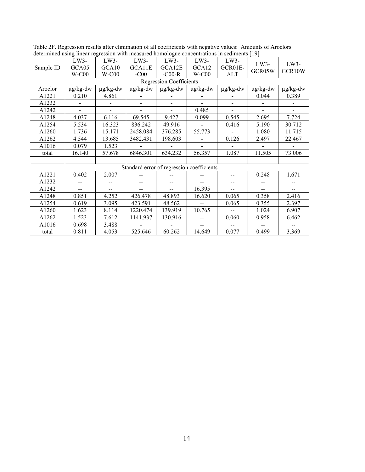|           | $\alpha$ . The couplet $\alpha$ |                          | $1000001$ with measured homologue concentrations in securitients $121$ |                                |                          |               |                          |               |
|-----------|---------------------------------|--------------------------|------------------------------------------------------------------------|--------------------------------|--------------------------|---------------|--------------------------|---------------|
|           | LW3-                            | LW3-                     | $LW3-$                                                                 | LW3-                           | LW3-                     | LW3-          | LW3-                     | LW3-          |
| Sample ID | GCA05                           | GCA <sub>10</sub>        | GCA11E                                                                 | GCA12E                         | GCA12                    | GCR01E-       | GCR05W                   | GCR10W        |
|           | $W-C00$                         | $W-C00$                  | $-C00$                                                                 | $-C00-R$                       | $W-C00$                  | ALT           |                          |               |
|           |                                 |                          |                                                                        | <b>Regression Coefficients</b> |                          |               |                          |               |
| Aroclor   | $\mu$ g/kg-dw                   | $\mu$ g/kg-dw            | $\mu$ g/kg-dw                                                          | $\mu$ g/kg-dw                  | $\mu$ g/kg-dw            | $\mu$ g/kg-dw | $\mu$ g/kg-dw            | $\mu$ g/kg-dw |
| A1221     | 0.210                           | 4.861                    |                                                                        |                                |                          |               | 0.044                    | 0.389         |
| A1232     |                                 |                          |                                                                        |                                |                          |               |                          |               |
| A1242     |                                 |                          |                                                                        |                                | 0.485                    |               |                          |               |
| A1248     | 4.037                           | 6.116                    | 69.545                                                                 | 9.427                          | 0.099                    | 0.545         | 2.695                    | 7.724         |
| A1254     | 5.534                           | 16.323                   | 836.242                                                                | 49.916                         |                          | 0.416         | 5.190                    | 30.712        |
| A1260     | 1.736                           | 15.171                   | 2458.084                                                               | 376.285                        | 55.773                   |               | 1.080                    | 11.715        |
| A1262     | 4.544                           | 13.685                   | 3482.431                                                               | 198.603                        |                          | 0.126         | 2.497                    | 22.467        |
| A1016     | 0.079                           | 1.523                    |                                                                        |                                |                          |               |                          |               |
| total     | 16.140                          | 57.678                   | 6846.301                                                               | 634.232                        | 56.357                   | 1.087         | 11.505                   | 73.006        |
|           |                                 |                          |                                                                        |                                |                          |               |                          |               |
|           |                                 |                          | Standard error of regression coefficients                              |                                |                          |               |                          |               |
| A1221     | 0.402                           | 2.007                    |                                                                        |                                |                          | --            | 0.248                    | 1.671         |
| A1232     |                                 |                          |                                                                        |                                | $\overline{a}$           | --            |                          |               |
| A1242     | --                              | $\overline{\phantom{a}}$ |                                                                        | $-$                            | 16.395                   | $-$           | $-$                      | $\mathbf{u}$  |
| A1248     | 0.851                           | 4.252                    | 426.478                                                                | 48.893                         | 16.620                   | 0.065         | 0.358                    | 2.416         |
| A1254     | 0.619                           | 3.095                    | 423.591                                                                | 48.562                         | $\overline{a}$           | 0.065         | 0.355                    | 2.397         |
| A1260     | 1.623                           | 8.114                    | 1220.474                                                               | 139.919                        | 10.765                   |               | 1.024                    | 6.907         |
| A1262     | 1.523                           | 7.612                    | 1141.937                                                               | 130.916                        |                          | 0.060         | 0.958                    | 6.462         |
| A1016     | 0.698                           | 3.488                    |                                                                        |                                | $\overline{\phantom{a}}$ |               | $\overline{\phantom{a}}$ |               |
| total     | 0.811                           | 4.053                    | 525.646                                                                | 60.262                         | 14.649                   | 0.077         | 0.499                    | 3.369         |

Table 2F. Regression results after elimination of all coefficients with negative values: Amounts of Aroclors determined using linear regression with measured homologue concentrations in sediments [19]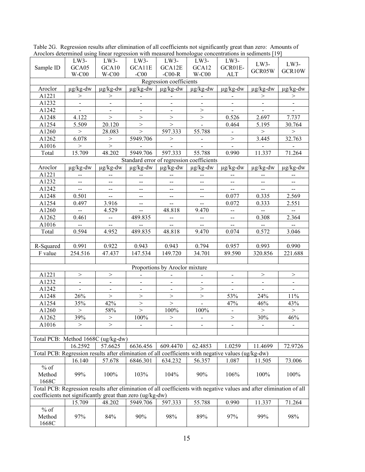| лючные ассепните авиге нисат годговятся мин нюазатса попнотодае сопсениация нг всаниены [17                           |                          |                          |                                               |                                           |                                       |                              |                          |                                               |
|-----------------------------------------------------------------------------------------------------------------------|--------------------------|--------------------------|-----------------------------------------------|-------------------------------------------|---------------------------------------|------------------------------|--------------------------|-----------------------------------------------|
|                                                                                                                       | LW3-                     | LW3-                     | LW3-                                          | LW3-                                      | LW3-                                  | LW3-                         | LW3-                     | $LW3-$                                        |
| Sample ID                                                                                                             | GCA05                    | GCA10                    | GCA11E                                        | GCA12E                                    | GCA12                                 | GCR01E-                      | GCR05W                   | GCR10W                                        |
|                                                                                                                       | $W-C00$                  | $W-C00$                  | $-C00$                                        | -C00- $R$                                 | $W-C00$                               | <b>ALT</b>                   |                          |                                               |
|                                                                                                                       |                          |                          |                                               | Regression coefficients                   |                                       |                              |                          |                                               |
| Aroclor                                                                                                               | $\mu$ g/kg-dw            | $\mu$ g/kg-dw            | $\mu$ g/kg-dw                                 | $\mu$ g/kg-dw                             | $\mu$ g/kg-dw                         | $\mu$ g/kg-dw                | $\mu$ g/kg-dw            | $\mu$ g/kg-dw                                 |
| A1221                                                                                                                 | >                        | $\rm{>}$                 |                                               |                                           |                                       |                              | $\rm{>}$                 | $\rm{>}$                                      |
| A1232                                                                                                                 | $\blacksquare$           | $\overline{\phantom{a}}$ | $\blacksquare$                                | $\blacksquare$                            | $\blacksquare$                        | $\blacksquare$               | $\blacksquare$           | $\blacksquare$                                |
| A1242                                                                                                                 | $\blacksquare$           | $\blacksquare$           | $\blacksquare$                                | $\blacksquare$                            | >                                     | $\blacksquare$               | $\blacksquare$           |                                               |
| A1248                                                                                                                 | 4.122                    | $\,>$                    | $\,>$                                         | $\,>$                                     | $\,>$                                 | 0.526                        | 2.697                    | 7.737                                         |
| A1254                                                                                                                 | 5.509                    | 20.120                   | $\,>$                                         | $\,>$                                     |                                       | 0.464                        | 5.195                    | 30.764                                        |
| A1260                                                                                                                 | >                        | 28.083                   | $\,>$                                         | 597.333                                   | 55.788                                | $\blacksquare$               | $\,>$                    | $\,>$                                         |
| A1262                                                                                                                 | 6.078                    | $\,>$                    | 5949.706                                      | $\,>$                                     | $\blacksquare$                        | $\,>$                        | 3.445                    | 32.763                                        |
| A1016                                                                                                                 | >                        | $\,>$                    |                                               |                                           |                                       |                              |                          |                                               |
| Total                                                                                                                 | 15.709                   | 48.202                   | 5949.706                                      | 597.333                                   | 55.788                                | 0.990                        | 11.337                   | 71.264                                        |
|                                                                                                                       |                          |                          |                                               | Standard error of regression coefficients |                                       |                              |                          |                                               |
| Aroclor                                                                                                               | $\mu$ g/kg-dw            | $\mu$ g/kg-dw            | $\mu$ g/kg-dw                                 | $\mu$ g/kg-dw                             | $\mu$ g/kg-dw                         | $\mu$ g/kg-dw                | $\mu$ g/kg-dw            | $\mu$ g/kg-dw                                 |
| A1221                                                                                                                 | $-$                      | $-$                      | $\overline{a}$                                |                                           |                                       | $- -$                        | --                       | $\overline{\phantom{a}}$                      |
| A1232                                                                                                                 | $\overline{\phantom{a}}$ | $\overline{\phantom{m}}$ | $\mathbf{u}$                                  | --                                        | $\hspace{0.05cm}$ – $\hspace{0.05cm}$ | --                           | $\overline{\phantom{m}}$ | $\overline{\phantom{a}}$                      |
| A1242                                                                                                                 | $\overline{\phantom{a}}$ | $\overline{\phantom{a}}$ | $\mathbf{u}$                                  | --                                        | $\hspace{0.05cm}$ – $\hspace{0.05cm}$ | $\overline{\phantom{a}}$     | $\overline{\phantom{a}}$ | $\overline{\phantom{a}}$                      |
| A1248                                                                                                                 | 0.501                    | $-$                      | $\mathord{\hspace{1pt}\text{--}\hspace{1pt}}$ | --                                        | $\overline{\phantom{a}}$              | 0.077                        | 0.335                    | 2.569                                         |
| A1254                                                                                                                 | 0.497                    | 3.916                    | $\mathbf{u}$                                  | $\overline{\phantom{a}}$                  | $\overline{\phantom{a}}$              | 0.072                        | 0.333                    | 2.551                                         |
| A1260                                                                                                                 | $\overline{\phantom{a}}$ | 4.529                    | $\overline{a}$                                | 48.818                                    | 9.470                                 | --                           | $\overline{a}$           | $\mathord{\hspace{1pt}\text{--}\hspace{1pt}}$ |
| A1262                                                                                                                 | 0.461                    | $\overline{\phantom{a}}$ | 489.835                                       | $\overline{\phantom{a}}$                  | $\qquad \qquad \qquad -$              | $\overline{\phantom{a}}$     | 0.308                    | 2.364                                         |
| A1016                                                                                                                 |                          | $\overline{\phantom{a}}$ |                                               | $\mathcal{L}_{\mathcal{F}}$               | $\overline{\phantom{m}}$              | $\overline{\phantom{a}}$     |                          | $\overline{a}$                                |
| Total                                                                                                                 | 0.594                    | 4.952                    | 489.835                                       | 48.818                                    | 9.470                                 | 0.074                        | 0.572                    | 3.046                                         |
|                                                                                                                       |                          |                          |                                               |                                           |                                       |                              |                          |                                               |
| R-Squared                                                                                                             | 0.991                    | 0.922                    | 0.943                                         | 0.943                                     | 0.794                                 | 0.957                        | 0.993                    | 0.990                                         |
| F value                                                                                                               | 254.516                  | 47.437                   | 147.534                                       | 149.720                                   | 34.701                                | 89.590                       | 320.856                  | 221.688                                       |
|                                                                                                                       |                          |                          |                                               |                                           |                                       |                              |                          |                                               |
|                                                                                                                       |                          |                          |                                               | Proportions by Aroclor mixture            |                                       |                              |                          |                                               |
| A1221                                                                                                                 | $\,>$                    | $\,>$                    |                                               |                                           |                                       | $\blacksquare$               | $\,>$                    | $\,>$                                         |
| A1232                                                                                                                 | $\blacksquare$           | $\overline{\phantom{a}}$ | $\blacksquare$                                | $\blacksquare$                            | $\blacksquare$                        | $\blacksquare$               | $\blacksquare$           | $\blacksquare$                                |
| A1242                                                                                                                 | $\blacksquare$           | $\blacksquare$           | $\blacksquare$                                | $\blacksquare$                            | >                                     | $\blacksquare$               | $\blacksquare$           | $\blacksquare$                                |
| A1248                                                                                                                 | 26%                      | $\,>$                    | $\,>$                                         | $\,>$                                     | $\,>$                                 | 53%                          | 24%                      | $11\%$                                        |
| A1254                                                                                                                 | 35%                      | 42%                      | $\,>$                                         | $\label{eq:1} \, >$                       | $\blacksquare$                        | 47%                          | 46%                      | 43%                                           |
| A1260                                                                                                                 | $\,>$                    | 58%                      | $\,>$                                         | 100%                                      | 100%                                  | $\blacksquare$               | $\,>$                    | $\,>$                                         |
| A1262                                                                                                                 | 39%                      | $\,>$                    | 100%                                          | $\,>$                                     | $\blacksquare$                        | $\,>$                        | 30%                      | 46%                                           |
| A1016                                                                                                                 | $\rm{>}$                 | >                        | $\blacksquare$                                | $\qquad \qquad \blacksquare$              | $\blacksquare$                        | $\qquad \qquad \blacksquare$ | $\overline{\phantom{0}}$ | $\blacksquare$                                |
|                                                                                                                       |                          |                          |                                               |                                           |                                       |                              |                          |                                               |
| Total PCB: Method 1668C (ug/kg-dw)                                                                                    |                          |                          |                                               |                                           |                                       |                              |                          |                                               |
|                                                                                                                       | 16.2592                  | 57.6625                  | 6636.456                                      | 609.4470                                  | 62.4853                               | 1.0259                       | 11.4699                  | 72.9726                                       |
| Total PCB: Regression results after elimination of all coefficients with negative values (ug/kg-dw)                   |                          |                          |                                               |                                           |                                       |                              |                          |                                               |
|                                                                                                                       | 16.140                   | 57.678                   | 6846.301                                      | 634.232                                   | 56.357                                | 1.087                        | 11.505                   | 73.006                                        |
| $%$ of                                                                                                                |                          |                          |                                               |                                           |                                       |                              |                          |                                               |
| Method                                                                                                                | 99%                      | 100%                     | 103%                                          | 104%                                      | 90%                                   | 106%                         | 100%                     | 100%                                          |
| 1668C                                                                                                                 |                          |                          |                                               |                                           |                                       |                              |                          |                                               |
| Total PCB: Regression results after elimination of all coefficients with negative values and after elimination of all |                          |                          |                                               |                                           |                                       |                              |                          |                                               |
| coefficients not significantly great than zero (ug/kg-dw)                                                             |                          |                          |                                               |                                           |                                       |                              |                          |                                               |
|                                                                                                                       | 15.709                   | 48.202                   | 5949.706                                      | 597.333                                   | 55.788                                | 0.990                        | 11.337                   | 71.264                                        |
| $%$ of                                                                                                                |                          |                          |                                               |                                           |                                       |                              |                          |                                               |
| Method                                                                                                                | 97%                      | 84%                      | 90%                                           | 98%                                       | 89%                                   | 97%                          | 99%                      | 98%                                           |
| 1668C                                                                                                                 |                          |                          |                                               |                                           |                                       |                              |                          |                                               |

Table 2G. Regression results after elimination of all coefficients not significantly great than zero: Amounts of Aroclors determined using linear regression with measured homologue concentrations in sediments [19]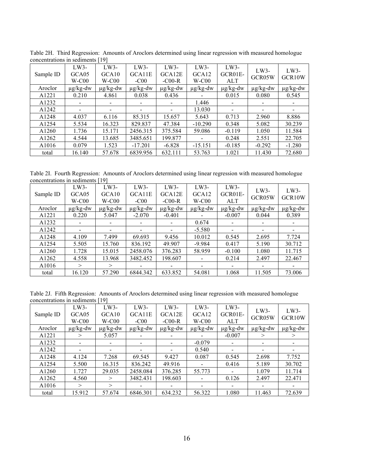|                   | concentrations in securitients<br>ユノー |                                        |                            |                              |                                        |                                   |                  |                               |  |  |
|-------------------|---------------------------------------|----------------------------------------|----------------------------|------------------------------|----------------------------------------|-----------------------------------|------------------|-------------------------------|--|--|
| Sample ID         | $LW3-$<br>GCA05<br>$W-C00$            | $LW3-$<br>GCA <sub>10</sub><br>$W-C00$ | $LW3-$<br>GCA11E<br>$-C00$ | $LW3-$<br>GCA12E<br>$-C00-R$ | $LW3-$<br>GCA <sub>12</sub><br>$W-C00$ | $LW3-$<br>$GCR01E-$<br><b>ALT</b> | $LW3-$<br>GCR05W | $LW3-$<br>GCR <sub>10</sub> W |  |  |
| Aroclor           | $\mu$ g/kg-dw                         | $\mu$ g/kg-dw                          | $\mu$ g/kg-dw              | $\mu$ g/kg-dw                | $\mu$ g/kg-dw                          | $\mu$ g/kg-dw                     | $\mu$ g/kg-dw    | $\mu$ g/kg-dw                 |  |  |
| A1221             | 0.210                                 | 4.861                                  | 0.038                      | 0.436                        |                                        | 0.015                             | 0.080            | 0.545                         |  |  |
| A1232             |                                       |                                        |                            |                              | 1.446                                  |                                   |                  |                               |  |  |
| A1242             |                                       |                                        |                            |                              | 13.030                                 |                                   |                  |                               |  |  |
| A1248             | 4.037                                 | 6.116                                  | 85.315                     | 15.657                       | 5.643                                  | 0.713                             | 2.960            | 8.886                         |  |  |
| A1254             | 5.534                                 | 16.323                                 | 829.837                    | 47.384                       | $-10.290$                              | 0.348                             | 5.082            | 30.239                        |  |  |
| A <sub>1260</sub> | 1.736                                 | 15.171                                 | 2456.315                   | 375.584                      | 59.086                                 | $-0.119$                          | 1.050            | 11.584                        |  |  |
| A1262             | 4.544                                 | 13.685                                 | 3485.651                   | 199.877                      |                                        | 0.248                             | 2.551            | 22.705                        |  |  |
| A1016             | 0.079                                 | 1.523                                  | $-17.201$                  | $-6.828$                     | $-15.151$                              | $-0.185$                          | $-0.292$         | $-1.280$                      |  |  |
| total             | 16.140                                | 57.678                                 | 6839.956                   | 632.111                      | 53.763                                 | 1.021                             | 11.430           | 72.680                        |  |  |

Table 2H. Third Regression: Amounts of Aroclors determined using linear regression with measured homologue concentrations in sediments [19]

Table 2I. Fourth Regression: Amounts of Aroclors determined using linear regression with measured homologue concentrations in sediments [19]

| Sample ID | $LW3-$<br>GCA05<br>$W-C00$ | LW3-<br>GCA <sub>10</sub><br>$W-C00$ | $LW3-$<br>GCA11E<br>$-C00$ | $LW3-$<br>GCA12E<br>$-C00-R$ | $LW3-$<br>GCA <sub>12</sub><br>$W-C00$ | $LW3-$<br>GCR01E-<br><b>ALT</b> | $LW3-$<br>GCR05W         | $LW3-$<br>GCR <sub>10</sub> W |
|-----------|----------------------------|--------------------------------------|----------------------------|------------------------------|----------------------------------------|---------------------------------|--------------------------|-------------------------------|
| Aroclor   | $\mu$ g/kg-dw              | $\mu$ g/kg-dw                        | $\mu$ g/kg-dw              | $\mu$ g/kg-dw                | $\mu$ g/kg-dw                          | $\mu$ g/kg-dw                   | $\mu$ g/kg-dw            | $\mu$ g/kg-dw                 |
| A1221     | 0.220                      | 5.047                                | $-2.070$                   | $-0.401$                     |                                        | $-0.007$                        | 0.044                    | 0.389                         |
| A1232     |                            |                                      |                            |                              | 0.674                                  | -                               | ۰.                       |                               |
| A1242     | $\overline{\phantom{a}}$   |                                      |                            |                              | $-5.580$                               | $\overline{\phantom{a}}$        | ۰.                       |                               |
| A1248     | 4.109                      | 7.499                                | 69.693                     | 9.456                        | 10.012                                 | 0.545                           | 2.695                    | 7.724                         |
| A1254     | 5.505                      | 15.760                               | 836.192                    | 49.907                       | $-9.984$                               | 0.417                           | 5.190                    | 30.712                        |
| A1260     | 1.728                      | 15.015                               | 2458.076                   | 376.283                      | 58.959                                 | $-0.100$                        | 1.080                    | 11.715                        |
| A1262     | 4.558                      | 13.968                               | 3482.452                   | 198.607                      |                                        | 0.214                           | 2.497                    | 22.467                        |
| A1016     | $\,>$                      | $\gt$                                |                            |                              |                                        | $\overline{\phantom{a}}$        | $\overline{\phantom{a}}$ |                               |
| total     | 16.120                     | 57.290                               | 6844.342                   | 633.852                      | 54.081                                 | 1.068                           | 11.505                   | 73.006                        |

Table 2J. Fifth Regression: Amounts of Aroclors determined using linear regression with measured homologue concentrations in sediments [19]

| Sample ID | $LW3-$<br>GCA05<br>$W-C00$ | $LW3-$<br>GCA <sub>10</sub><br>$W-C00$ | $LW3-$<br>GCA11E<br>$-C00$ | $LW3-$<br>GCA12E<br>$-C00-R$ | LW3-<br>GCA <sub>12</sub><br>$W-C00$ | $LW3-$<br>GCR01E-<br><b>ALT</b> | $LW3-$<br>GCR05W         | $LW3-$<br>GCR <sub>10</sub> W |
|-----------|----------------------------|----------------------------------------|----------------------------|------------------------------|--------------------------------------|---------------------------------|--------------------------|-------------------------------|
| Aroclor   | $\mu$ g/kg-dw              | $\mu$ g/kg-dw                          | $\mu$ g/kg-dw              | $\mu$ g/kg-dw                | $\mu$ g/kg-dw                        | $\mu$ g/kg-dw                   | $\mu$ g/kg-dw            | $\mu$ g/kg-dw                 |
| A1221     | >                          | 5.057                                  |                            |                              | $\overline{\phantom{a}}$             | $-0.007$                        | $\rm{>}$                 | $\geq$                        |
| A1232     |                            |                                        |                            |                              | $-0.079$                             | -                               | -                        |                               |
| A1242     |                            |                                        |                            |                              | 0.540                                |                                 | -                        |                               |
| A1248     | 4.124                      | 7.268                                  | 69.545                     | 9.427                        | 0.087                                | 0.545                           | 2.698                    | 7.752                         |
| A1254     | 5.500                      | 16.315                                 | 836.242                    | 49.916                       | $\blacksquare$                       | 0.416                           | 5.189                    | 30.702                        |
| A1260     | 1.727                      | 29.035                                 | 2458.084                   | 376.285                      | 55.773                               |                                 | 1.079                    | 11.714                        |
| A1262     | 4.560                      | $\geq$                                 | 3482.431                   | 198.603                      | $\blacksquare$                       | 0.126                           | 2.497                    | 22.471                        |
| A1016     | $\gt$                      | $\geq$                                 |                            |                              |                                      |                                 | $\overline{\phantom{a}}$ |                               |
| total     | 15.912                     | 57.674                                 | 6846.301                   | 634.232                      | 56.322                               | 1.080                           | 11.463                   | 72.639                        |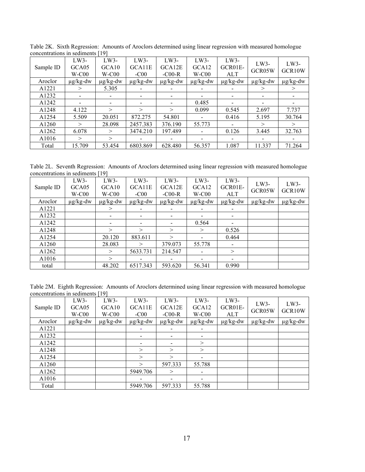|                   |                            | - -                                  |                            |                            |                                        |                                 |                          |                               |
|-------------------|----------------------------|--------------------------------------|----------------------------|----------------------------|----------------------------------------|---------------------------------|--------------------------|-------------------------------|
| Sample ID         | $LW3-$<br>GCA05<br>$W-C00$ | LW3-<br>GCA <sub>10</sub><br>$W-C00$ | $LW3-$<br>GCA11E<br>$-C00$ | LW3-<br>GCA12E<br>$-C00-R$ | $LW3-$<br>GCA <sub>12</sub><br>$W-C00$ | $LW3-$<br>GCR01E-<br><b>ALT</b> | $LW3-$<br>GCR05W         | $LW3-$<br>GCR <sub>10</sub> W |
| Aroclor           | $\mu$ g/kg-dw              | $\mu$ g/kg-dw                        | $\mu$ g/kg-dw              | $\mu$ g/kg-dw              | $\mu$ g/kg-dw                          | $\mu$ g/kg-dw                   | $\mu$ g/kg-dw            | $\mu$ g/kg-dw                 |
| A1221             | $\,>$                      | 5.305                                |                            |                            |                                        |                                 | >                        | $\geq$                        |
| A1232             |                            |                                      |                            |                            | $\overline{\phantom{0}}$               |                                 | $\overline{\phantom{a}}$ |                               |
| A1242             |                            |                                      |                            |                            | 0.485                                  |                                 | $\overline{\phantom{a}}$ |                               |
| A <sub>1248</sub> | 4.122                      | $\geq$                               | $\gt$                      | $\gt$                      | 0.099                                  | 0.545                           | 2.697                    | 7.737                         |
| A1254             | 5.509                      | 20.051                               | 872.275                    | 54.801                     | $\overline{\phantom{a}}$               | 0.416                           | 5.195                    | 30.764                        |
| A1260             | $\gt$                      | 28.098                               | 2457.383                   | 376.190                    | 55.773                                 |                                 | $\geq$                   | $\geq$                        |
| A1262             | 6.078                      | $\geq$                               | 3474.210                   | 197.489                    | $\overline{\phantom{0}}$               | 0.126                           | 3.445                    | 32.763                        |
| A <sub>1016</sub> | $\geq$                     | $\geq$                               |                            |                            |                                        |                                 |                          |                               |
| Total             | 15.709                     | 53.454                               | 6803.869                   | 628.480                    | 56.357                                 | 1.087                           | 11.337                   | 71.264                        |

Table 2K. Sixth Regression: Amounts of Aroclors determined using linear regression with measured homologue concentrations in sediments [19]

Table 2L. Seventh Regression: Amounts of Aroclors determined using linear regression with measured homologue concentrations in sediments [19]

| Sample ID | $LW3-$<br>GCA05<br>$W-C00$ | $LW3-$<br>GCA <sub>10</sub><br>$W-C00$ | $LW3-$<br>GCA11E<br>$-C00$ | $LW3-$<br>GCA12E<br>$-C00-R$ | $LW3-$<br>GCA <sub>12</sub><br>$W-C00$ | LW3-<br>GCR01E-<br><b>ALT</b> | $LW3-$<br>GCR05W | $LW3-$<br>GCR10W |
|-----------|----------------------------|----------------------------------------|----------------------------|------------------------------|----------------------------------------|-------------------------------|------------------|------------------|
| Aroclor   | $\mu$ g/kg-dw              | $\mu$ g/kg-dw                          | $\mu$ g/kg-dw              | $\mu$ g/kg-dw                | $\mu$ g/kg-dw                          | $\mu$ g/kg-dw                 | $\mu$ g/kg-dw    | $\mu$ g/kg-dw    |
| A1221     |                            | $\rm{>}$                               |                            |                              |                                        |                               |                  |                  |
| A1232     |                            |                                        |                            |                              |                                        | $\overline{\phantom{a}}$      |                  |                  |
| A1242     |                            |                                        |                            |                              | 0.564                                  | $\overline{\phantom{a}}$      |                  |                  |
| A1248     |                            | $\geq$                                 | $\geq$                     | $\geq$                       | $\geq$                                 | 0.526                         |                  |                  |
| A1254     |                            | 20.120                                 | 883.611                    | $\geq$                       |                                        | 0.464                         |                  |                  |
| A1260     |                            | 28.083                                 | $\gt$                      | 379.073                      | 55.778                                 | $\overline{\phantom{a}}$      |                  |                  |
| A1262     |                            | >                                      | 5633.731                   | 214.547                      |                                        | $\geq$                        |                  |                  |
| A1016     |                            | $\geq$                                 |                            |                              |                                        | $\overline{\phantom{a}}$      |                  |                  |
| total     |                            | 48.202                                 | 6517.343                   | 593.620                      | 56.341                                 | 0.990                         |                  |                  |

Table 2M. Eighth Regression: Amounts of Aroclors determined using linear regression with measured homologue concentrations in sediments [19]

| Sample ID | $LW3-$<br>GCA05<br>$W-C00$ | $LW3-$<br>GCA10<br>$W-C00$ | $LW3-$<br>GCA11E<br>$-C00$ | $LW3-$<br>GCA12E<br>$-C00-R$ | LW3-<br>GCA <sub>12</sub><br>$W-C00$ | $LW3-$<br>GCR01E-<br><b>ALT</b> | $LW3-$<br>GCR05W | $LW3-$<br>GCR10W |
|-----------|----------------------------|----------------------------|----------------------------|------------------------------|--------------------------------------|---------------------------------|------------------|------------------|
| Aroclor   | $\mu$ g/kg-dw              | $\mu$ g/kg-dw              | $\mu$ g/kg-dw              | $\mu$ g/kg-dw                | $\mu$ g/kg-dw                        | $\mu$ g/kg-dw                   | $\mu$ g/kg-dw    | $\mu$ g/kg-dw    |
| A1221     |                            |                            |                            |                              |                                      |                                 |                  |                  |
| A1232     |                            |                            |                            | -                            | $\overline{\phantom{a}}$             |                                 |                  |                  |
| A1242     |                            |                            |                            |                              | >                                    |                                 |                  |                  |
| A1248     |                            |                            | $\geq$                     | $\geq$                       | >                                    |                                 |                  |                  |
| A1254     |                            |                            | $\geq$                     | $\geq$                       |                                      |                                 |                  |                  |
| A1260     |                            |                            | $\geq$                     | 597.333                      | 55.788                               |                                 |                  |                  |
| A1262     |                            |                            | 5949.706                   | >                            | $\blacksquare$                       |                                 |                  |                  |
| A1016     |                            |                            |                            |                              |                                      |                                 |                  |                  |
| Total     |                            |                            | 5949.706                   | 597.333                      | 55.788                               |                                 |                  |                  |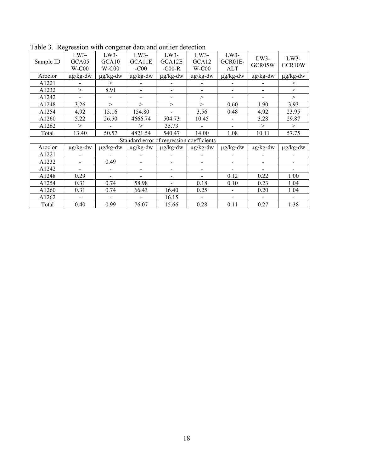| Sample ID | LW3-<br>GCA05<br>$W-C00$ | LW3-<br>GCA10<br>$W-C00$ | LW3-<br>GCA11E<br>$-C00$                  | LW3-<br>GCA12E<br>$-C00-R$ | LW3-<br>GCA12<br>$W-C00$ | LW3-<br>GCR01E-<br><b>ALT</b> | $LW3-$<br>GCR05W | $LW3-$<br>GCR10W |
|-----------|--------------------------|--------------------------|-------------------------------------------|----------------------------|--------------------------|-------------------------------|------------------|------------------|
| Aroclor   | $\mu$ g/kg-dw            | $\mu g/kg$ -dw           | $\mu$ g/kg-dw                             | $\mu$ g/kg-dw              | $\mu g/kg$ -dw           | $\mu$ g/kg-dw                 | $\mu$ g/kg-dw    | $\mu$ g/kg-dw    |
| A1221     |                          | >                        |                                           |                            |                          |                               |                  | >                |
| A1232     | $\geq$                   | 8.91                     |                                           |                            |                          |                               |                  | $\geq$           |
| A1242     |                          |                          |                                           |                            | >                        |                               |                  | $\geq$           |
| A1248     | 3.26                     | $\geq$                   | $\geq$                                    | $\geq$                     | >                        | 0.60                          | 1.90             | 3.93             |
| A1254     | 4.92                     | 15.16                    | 154.80                                    |                            | 3.56                     | 0.48                          | 4.92             | 23.95            |
| A1260     | 5.22                     | 26.50                    | 4666.74                                   | 504.73                     | 10.45                    |                               | 3.28             | 29.87            |
| A1262     | $\geq$                   |                          | $\geq$                                    | 35.73                      |                          | $\overline{\phantom{0}}$      | $\geq$           | $\geq$           |
| Total     | 13.40                    | 50.57                    | 4821.54                                   | 540.47                     | 14.00                    | 1.08                          | 10.11            | 57.75            |
|           |                          |                          | Standard error of regression coefficients |                            |                          |                               |                  |                  |
| Aroclor   | $\mu$ g/kg-dw            | $\mu$ g/kg-dw            | $\mu$ g/kg-dw                             | $\mu$ g/kg-dw              | $\mu$ g/kg-dw            | $\mu$ g/kg-dw                 | $\mu$ g/kg-dw    | $\mu$ g/kg-dw    |
| A1221     |                          |                          |                                           |                            |                          |                               |                  |                  |
| A1232     |                          | 0.49                     |                                           |                            |                          | ۰                             |                  |                  |
| A1242     |                          |                          |                                           |                            | $\blacksquare$           |                               |                  |                  |
| A1248     | 0.29                     |                          |                                           |                            |                          | 0.12                          | 0.22             | 1.00             |
| A1254     | 0.31                     | 0.74                     | 58.98                                     |                            | 0.18                     | 0.10                          | 0.23             | 1.04             |
| A1260     | 0.31                     | 0.74                     | 66.43                                     | 16.40                      | 0.25                     |                               | 0.20             | 1.04             |
| A1262     |                          |                          |                                           | 16.15                      |                          |                               |                  |                  |
| Total     | 0.40                     | 0.99                     | 76.07                                     | 15.66                      | 0.28                     | 0.11                          | 0.27             | 1.38             |

Table 3. Regression with congener data and outlier detection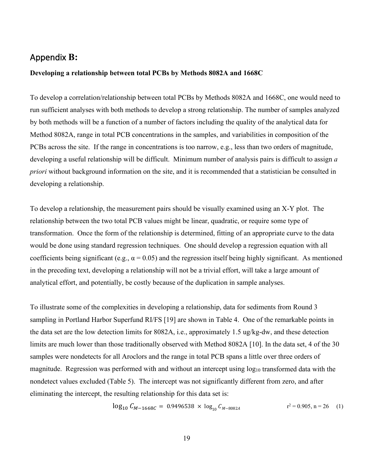# <span id="page-22-0"></span>Appendix **B:**

### **Developing a relationship between total PCBs by Methods 8082A and 1668C**

To develop a correlation/relationship between total PCBs by Methods 8082A and 1668C, one would need to run sufficient analyses with both methods to develop a strong relationship. The number of samples analyzed by both methods will be a function of a number of factors including the quality of the analytical data for Method 8082A, range in total PCB concentrations in the samples, and variabilities in composition of the PCBs across the site. If the range in concentrations is too narrow, e.g., less than two orders of magnitude, developing a useful relationship will be difficult. Minimum number of analysis pairs is difficult to assign *a priori* without background information on the site, and it is recommended that a statistician be consulted in developing a relationship.

To develop a relationship, the measurement pairs should be visually examined using an X-Y plot. The relationship between the two total PCB values might be linear, quadratic, or require some type of transformation. Once the form of the relationship is determined, fitting of an appropriate curve to the data would be done using standard regression techniques. One should develop a regression equation with all coefficients being significant (e.g.,  $\alpha = 0.05$ ) and the regression itself being highly significant. As mentioned in the preceding text, developing a relationship will not be a trivial effort, will take a large amount of analytical effort, and potentially, be costly because of the duplication in sample analyses.

To illustrate some of the complexities in developing a relationship, data for sediments from Round 3 sampling in Portland Harbor Superfund RI/FS [19] are shown in Table 4. One of the remarkable points in the data set are the low detection limits for 8082A, i.e., approximately 1.5 ug/kg-dw, and these detection limits are much lower than those traditionally observed with Method 8082A [10]. In the data set, 4 of the 30 samples were nondetects for all Aroclors and the range in total PCB spans a little over three orders of magnitude. Regression was performed with and without an intercept using  $log_{10}$  transformed data with the nondetect values excluded (Table 5). The intercept was not significantly different from zero, and after eliminating the intercept, the resulting relationship for this data set is:

$$
\log_{10} C_{M-1668C} = 0.9496538 \times \log_{10} C_{M-8082A} \qquad \qquad \mathbf{r}^2 = 0.905, \mathbf{n} = 26 \quad (1)
$$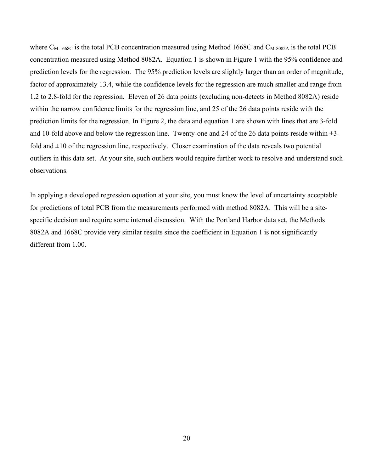where  $C_{\text{M-1668C}}$  is the total PCB concentration measured using Method 1668C and  $C_{\text{M-8082A}}$  is the total PCB concentration measured using Method 8082A. Equation 1 is shown in Figure 1 with the 95% confidence and prediction levels for the regression. The 95% prediction levels are slightly larger than an order of magnitude, factor of approximately 13.4, while the confidence levels for the regression are much smaller and range from 1.2 to 2.8-fold for the regression. Eleven of 26 data points (excluding non-detects in Method 8082A) reside within the narrow confidence limits for the regression line, and 25 of the 26 data points reside with the prediction limits for the regression. In Figure 2, the data and equation 1 are shown with lines that are 3-fold and 10-fold above and below the regression line. Twenty-one and 24 of the 26 data points reside within  $\pm$ 3fold and  $\pm 10$  of the regression line, respectively. Closer examination of the data reveals two potential outliers in this data set. At your site, such outliers would require further work to resolve and understand such observations.

In applying a developed regression equation at your site, you must know the level of uncertainty acceptable for predictions of total PCB from the measurements performed with method 8082A. This will be a sitespecific decision and require some internal discussion. With the Portland Harbor data set, the Methods 8082A and 1668C provide very similar results since the coefficient in Equation 1 is not significantly different from 1.00.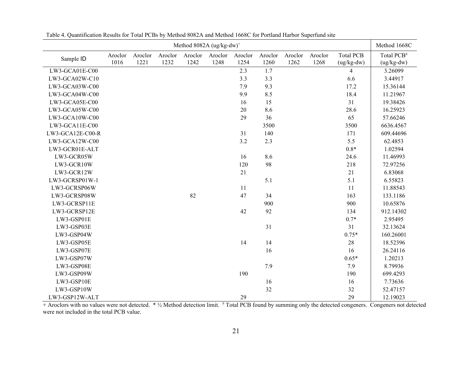|                  |         |         |         |         | Method 8082A (ug/kg-dw) <sup>+</sup> |         |         |         |         |                  | Method 1668C           |
|------------------|---------|---------|---------|---------|--------------------------------------|---------|---------|---------|---------|------------------|------------------------|
| Sample ID        | Aroclor | Aroclor | Aroclor | Aroclor | Aroclor                              | Aroclor | Aroclor | Aroclor | Aroclor | <b>Total PCB</b> | Total PCB <sup>#</sup> |
|                  | 1016    | 1221    | 1232    | 1242    | 1248                                 | 1254    | 1260    | 1262    | 1268    | $(ug/kg-dw)$     | $(ug/kg-dw)$           |
| LW3-GCA01E-C00   |         |         |         |         |                                      | 2.3     | 1.7     |         |         | $\overline{4}$   | 3.26099                |
| LW3-GCA02W-C10   |         |         |         |         |                                      | 3.3     | 3.3     |         |         | 6.6              | 3.44917                |
| LW3-GCA03W-C00   |         |         |         |         |                                      | 7.9     | 9.3     |         |         | 17.2             | 15.36144               |
| LW3-GCA04W-C00   |         |         |         |         |                                      | 9.9     | 8.5     |         |         | 18.4             | 11.21967               |
| LW3-GCA05E-C00   |         |         |         |         |                                      | 16      | 15      |         |         | 31               | 19.38426               |
| LW3-GCA05W-C00   |         |         |         |         |                                      | 20      | 8.6     |         |         | 28.6             | 16.25923               |
| LW3-GCA10W-C00   |         |         |         |         |                                      | 29      | 36      |         |         | 65               | 57.66246               |
| LW3-GCA11E-C00   |         |         |         |         |                                      |         | 3500    |         |         | 3500             | 6636.4567              |
| LW3-GCA12E-C00-R |         |         |         |         |                                      | 31      | 140     |         |         | 171              | 609.44696              |
| LW3-GCA12W-C00   |         |         |         |         |                                      | 3.2     | 2.3     |         |         | 5.5              | 62.4853                |
| LW3-GCR01E-ALT   |         |         |         |         |                                      |         |         |         |         | $0.8*$           | 1.02594                |
| LW3-GCR05W       |         |         |         |         |                                      | 16      | 8.6     |         |         | 24.6             | 11.46993               |
| LW3-GCR10W       |         |         |         |         |                                      | 120     | 98      |         |         | 218              | 72.97256               |
| LW3-GCR12W       |         |         |         |         |                                      | 21      |         |         |         | 21               | 6.83068                |
| LW3-GCRSP01W-1   |         |         |         |         |                                      |         | 5.1     |         |         | 5.1              | 6.55823                |
| LW3-GCRSP06W     |         |         |         |         |                                      | 11      |         |         |         | 11               | 11.88543               |
| LW3-GCRSP08W     |         |         |         | 82      |                                      | 47      | 34      |         |         | 163              | 133.1186               |
| LW3-GCRSP11E     |         |         |         |         |                                      |         | 900     |         |         | 900              | 10.65876               |
| LW3-GCRSP12E     |         |         |         |         |                                      | 42      | 92      |         |         | 134              | 912.14302              |
| LW3-GSP01E       |         |         |         |         |                                      |         |         |         |         | $0.7*$           | 2.95495                |
| LW3-GSP03E       |         |         |         |         |                                      |         | 31      |         |         | 31               | 32.13624               |
| LW3-GSP04W       |         |         |         |         |                                      |         |         |         |         | $0.75*$          | 160.26001              |
| LW3-GSP05E       |         |         |         |         |                                      | 14      | 14      |         |         | $28\,$           | 18.52396               |
| LW3-GSP07E       |         |         |         |         |                                      |         | 16      |         |         | 16               | 26.24116               |
| LW3-GSP07W       |         |         |         |         |                                      |         |         |         |         | $0.65*$          | 1.20213                |
| LW3-GSP08E       |         |         |         |         |                                      |         | 7.9     |         |         | 7.9              | 8.79936                |
| LW3-GSP09W       |         |         |         |         |                                      | 190     |         |         |         | 190              | 699.4293               |
| LW3-GSP10E       |         |         |         |         |                                      |         | 16      |         |         | 16               | 7.73636                |
| LW3-GSP10W       |         |         |         |         |                                      |         | 32      |         |         | 32               | 52.47157               |
| LW3-GSP12W-ALT   |         |         |         |         |                                      | 29      |         |         |         | 29               | 12.19023               |

Table 4. Quantification Results for Total PCBs by Method 8082A and Method 1668C for Portland Harbor Superfund site

+ Aroclors with no values were not detected. \* 1/2 Method detection limit. # Total PCB found by summing only the detected congeners. Congeners not detected were not included in the total PCB value.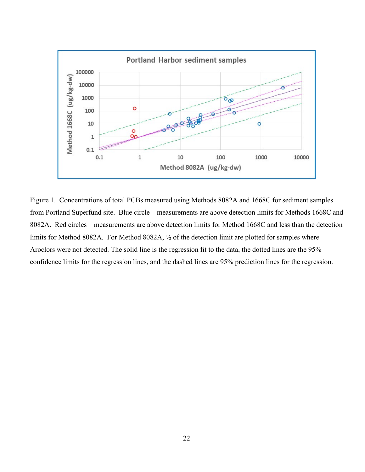

Figure 1. Concentrations of total PCBs measured using Methods 8082A and 1668C for sediment samples from Portland Superfund site. Blue circle – measurements are above detection limits for Methods 1668C and 8082A. Red circles – measurements are above detection limits for Method 1668C and less than the detection limits for Method 8082A. For Method 8082A, ½ of the detection limit are plotted for samples where Aroclors were not detected. The solid line is the regression fit to the data, the dotted lines are the 95% confidence limits for the regression lines, and the dashed lines are 95% prediction lines for the regression.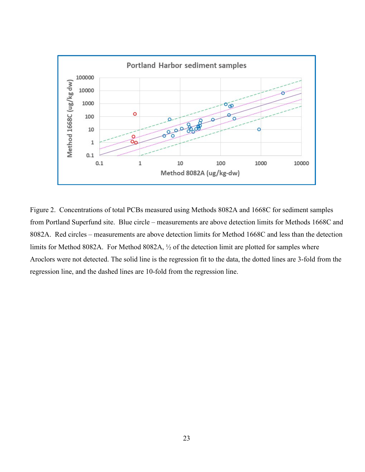

Figure 2. Concentrations of total PCBs measured using Methods 8082A and 1668C for sediment samples from Portland Superfund site. Blue circle – measurements are above detection limits for Methods 1668C and 8082A. Red circles – measurements are above detection limits for Method 1668C and less than the detection limits for Method 8082A. For Method 8082A, ½ of the detection limit are plotted for samples where Aroclors were not detected. The solid line is the regression fit to the data, the dotted lines are 3-fold from the regression line, and the dashed lines are 10-fold from the regression line.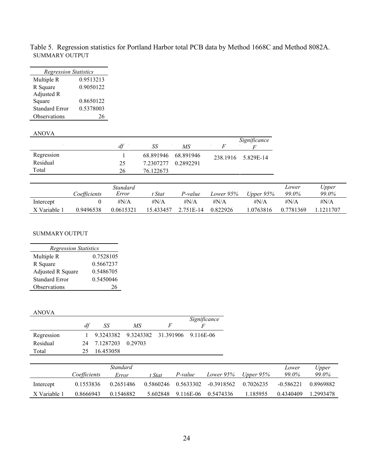| <b>Regression Statistics</b> |           |  |  |  |  |  |  |  |  |
|------------------------------|-----------|--|--|--|--|--|--|--|--|
| Multiple R                   | 0.9513213 |  |  |  |  |  |  |  |  |
| R Square                     | 0.9050122 |  |  |  |  |  |  |  |  |
| Adjusted R                   |           |  |  |  |  |  |  |  |  |
| Square                       | 0.8650122 |  |  |  |  |  |  |  |  |
| Standard Error               | 0.5378003 |  |  |  |  |  |  |  |  |
| Observations                 | 76        |  |  |  |  |  |  |  |  |

Table 5. Regression statistics for Portland Harbor total PCB data by Method 1668C and Method 8082A. SUMMARY OUTPUT

#### ANOVA

|            |    |           |           | Significance       |  |
|------------|----|-----------|-----------|--------------------|--|
|            | df | SS        | MS        |                    |  |
| Regression |    | 68.891946 | 68.891946 | 238.1916 5.829E-14 |  |
| Residual   | 25 | 7.2307277 | 0.2892291 |                    |  |
| Total      | 26 | 76.122673 |           |                    |  |

|              | Coefficients | Standard<br>Error | t Stat    | P-value      | Lower 95%    | Upper $95\%$ | Lower<br>99.0% | Upper<br>99.0% |
|--------------|--------------|-------------------|-----------|--------------|--------------|--------------|----------------|----------------|
| Intercept    |              | $\#N/A$           | $\#N/A$   | $\sharp N/A$ | $\sharp N/A$ | $\sharp N/A$ | # $N/A$        | $\#N/A$        |
| X Variable 1 | 0.9496538    | 0.0615321         | 15.433457 | 2.751E-14    | 0.822926     | 1.0763816    | 0.7781369      | 1.1211707      |

#### SUMMARY OUTPUT

| <b>Regression Statistics</b> |           |  |  |  |  |  |  |  |
|------------------------------|-----------|--|--|--|--|--|--|--|
| Multiple R                   | 0.7528105 |  |  |  |  |  |  |  |
| R Square                     | 0.5667237 |  |  |  |  |  |  |  |
| Adjusted R Square            | 0.5486705 |  |  |  |  |  |  |  |
| Standard Error               | 0.5450046 |  |  |  |  |  |  |  |
| Observations                 | 26        |  |  |  |  |  |  |  |

### ANOVA

|            | df  | SS                   | МS                                      | F | Significance |
|------------|-----|----------------------|-----------------------------------------|---|--------------|
| Regression |     |                      | 9.3243382 9.3243382 31.391906 9.116E-06 |   |              |
| Residual   |     | 24 7.1287203 0.29703 |                                         |   |              |
| Total      | 25. | 16.453058            |                                         |   |              |

|              |              | Standard  |           |           |              |           | Lower       | Upper        |
|--------------|--------------|-----------|-----------|-----------|--------------|-----------|-------------|--------------|
|              | Coefficients | Error     | t Stat    | P-value   | Lower 95%    | Upper 95% | 99.0%       | <i>99.0%</i> |
| Intercept    | 0.1553836    | 0.2651486 | 0.5860246 | 0.5633302 | $-0.3918562$ | 0.7026235 | $-0.586221$ | 0.8969882    |
| X Variable 1 | 0.8666943    | 0.1546882 | 5.602848  | 9.116E-06 | 0.5474336    | 1.185955  | 0.4340409   | 1.2993478    |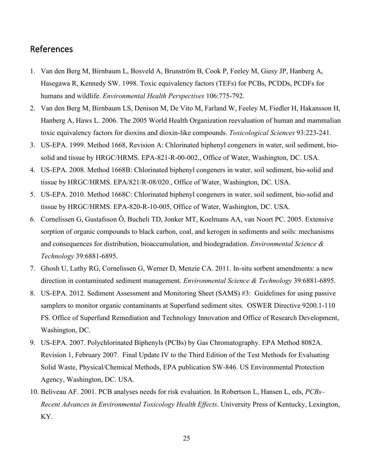# <span id="page-28-0"></span>References

- 1. Van den Berg M, Birnbaum L, Bosveld A, Brunström B, Cook P, Feeley M, Giesy JP, Hanberg A, Hasegawa R, Kennedy SW. 1998. Toxic equivalency factors (TEFs) for PCBs, PCDDs, PCDFs for humans and wildlife. *Environmental Health Perspectives* 106:775-792.
- 2. Van den Berg M, Birnbaum LS, Denison M, De Vito M, Farland W, Feeley M, Fiedler H, Hakansson H, Hanberg A, Haws L. 2006. The 2005 World Health Organization reevaluation of human and mammalian toxic equivalency factors for dioxins and dioxin-like compounds. *Toxicological Sciences* 93:223-241.
- 3. US-EPA. 1999. Method 1668, Revision A: Chlorinated biphenyl congeners in water, soil sediment, biosolid and tissue by HRGC/HRMS. EPA-821-R-00-002., Office of Water, Washington, DC. USA.
- 4. US-EPA. 2008. Method 1668B: Chlorinated biphenyl congeners in water, soil sediment, bio-solid and tissue by HRGC/HRMS. EPA/821/R-08/020., Office of Water, Washington, DC. USA.
- 5. US-EPA. 2010. Method 1668C: Chlorinated biphenyl congeners in water, soil sediment, bio-solid and tissue by HRGC/HRMS. EPA-820-R-10-005, Office of Water, Washington, DC. USA.
- 6. Cornelissen G, Gustafsson Ö, Bucheli TD, Jonker MT, Koelmans AA, van Noort PC. 2005. Extensive sorption of organic compounds to black carbon, coal, and kerogen in sediments and soils: mechanisms and consequences for distribution, bioaccumulation, and biodegradation. *Environmental Science & Technology* 39:6881-6895.
- 7. Ghosh U, Luthy RG, Cornelissen G, Werner D, Menzie CA. 2011. In-situ sorbent amendments: a new direction in contaminated sediment management. *Environmental Science & Technology* 39:6881-6895.
- 8. US-EPA. 2012. Sediment Assessment and Monitoring Sheet (SAMS) #3: Guidelines for using passive samplers to monitor organic contaminants at Superfund sediment sites. OSWER Directive 9200.1-110 FS. Office of Superfund Remediation and Technology Innovation and Office of Research Development, Washington, DC.
- 9. US-EPA. 2007. Polychlorinated Biphenyls (PCBs) by Gas Chromatography. EPA Method 8082A. Revision 1, February 2007. Final Update IV to the Third Edition of the Test Methods for Evaluating Solid Waste, Physical/Chemical Methods, EPA publication SW‐846. US Environmental Protection Agency, Washington, DC. USA.
- 10. Beliveau AF. 2001. PCB analyses needs for risk evaluation. In Robertson L, Hansen L, eds, *PCBs– Recent Advances in Environmental Toxicology Health Effects*. University Press of Kentucky, Lexington, KY.